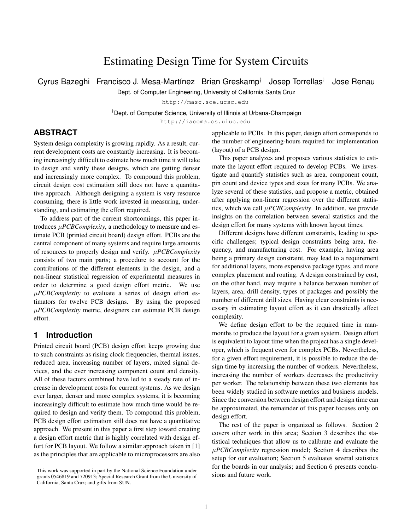# Estimating Design Time for System Circuits

Cyrus Bazeghi Francisco J. Mesa-Martínez Brian Greskamp<sup>†</sup> Josep Torrellas<sup>†</sup> Jose Renau

Dept. of Computer Engineering, University of California Santa Cruz

http://masc.soe.ucsc.edu

†Dept. of Computer Science, University of Illinois at Urbana-Champaign

http://iacoma.cs.uiuc.edu

# **ABSTRACT**

System design complexity is growing rapidly. As a result, current development costs are constantly increasing. It is becoming increasingly difficult to estimate how much time it will take to design and verify these designs, which are getting denser and increasingly more complex. To compound this problem, circuit design cost estimation still does not have a quantitative approach. Although designing a system is very resource consuming, there is little work invested in measuring, understanding, and estimating the effort required.

To address part of the current shortcomings, this paper introduces µ*PCBComplexity*, a methodology to measure and estimate PCB (printed circuit board) design effort. PCBs are the central component of many systems and require large amounts of resources to properly design and verify. µ*PCBComplexity* consists of two main parts; a procedure to account for the contributions of the different elements in the design, and a non-linear statistical regression of experimental measures in order to determine a good design effort metric. We use µ*PCBComplexity* to evaluate a series of design effort estimators for twelve PCB designs. By using the proposed µ*PCBComplexity* metric, designers can estimate PCB design effort.

# **1 Introduction**

Printed circuit board (PCB) design effort keeps growing due to such constraints as rising clock frequencies, thermal issues, reduced area, increasing number of layers, mixed signal devices, and the ever increasing component count and density. All of these factors combined have led to a steady rate of increase in development costs for current systems. As we design ever larger, denser and more complex systems, it is becoming increasingly difficult to estimate how much time would be required to design and verify them. To compound this problem, PCB design effort estimation still does not have a quantitative approach. We present in this paper a first step toward creating a design effort metric that is highly correlated with design effort for PCB layout. We follow a similar approach taken in [1] as the principles that are applicable to microprocessors are also

applicable to PCBs. In this paper, design effort corresponds to the number of engineering-hours required for implementation (layout) of a PCB design.

This paper analyzes and proposes various statistics to estimate the layout effort required to develop PCBs. We investigate and quantify statistics such as area, component count, pin count and device types and sizes for many PCBs. We analyze several of these statistics, and propose a metric, obtained after applying non-linear regression over the different statistics, which we call µ*PCBComplexity*. In addition, we provide insights on the correlation between several statistics and the design effort for many systems with known layout times.

Different designs have different constraints, leading to specific challenges; typical design constraints being area, frequency, and manufacturing cost. For example, having area being a primary design constraint, may lead to a requirement for additional layers, more expensive package types, and more complex placement and routing. A design constrained by cost, on the other hand, may require a balance between number of layers, area, drill density, types of packages and possibly the number of different drill sizes. Having clear constraints is necessary in estimating layout effort as it can drastically affect complexity.

We define design effort to be the required time in manmonths to produce the layout for a given system. Design effort is equivalent to layout time when the project has a single developer, which is frequent even for complex PCBs. Nevertheless, for a given effort requirement, it is possible to reduce the design time by increasing the number of workers. Nevertheless, increasing the number of workers decreases the productivity per worker. The relationship between these two elements has been widely studied in software metrics and business models. Since the conversion between design effort and design time can be approximated, the remainder of this paper focuses only on design effort.

The rest of the paper is organized as follows. Section 2 covers other work in this area; Section 3 describes the statistical techniques that allow us to calibrate and evaluate the µ*PCBComplexity* regression model; Section 4 describes the setup for our evaluation; Section 5 evaluates several statistics for the boards in our analysis; and Section 6 presents conclusions and future work.

This work was supported in part by the National Science Foundation under grants 0546819 and 720913; Special Research Grant from the University of California, Santa Cruz; and gifts from SUN.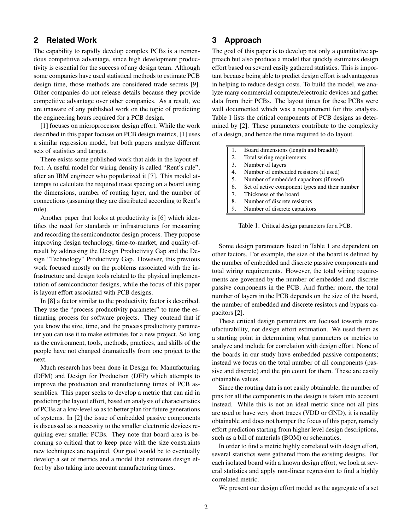# **2 Related Work**

The capability to rapidly develop complex PCBs is a tremendous competitive advantage, since high development productivity is essential for the success of any design team. Although some companies have used statistical methods to estimate PCB design time, those methods are considered trade secrets [9]. Other companies do not release details because they provide competitive advantage over other companies. As a result, we are unaware of any published work on the topic of predicting the engineering hours required for a PCB design.

[1] focuses on microprocessor design effort. While the work described in this paper focuses on PCB design metrics, [1] uses a similar regression model, but both papers analyze different sets of statistics and targets.

There exists some published work that aids in the layout effort. A useful model for wiring density is called "Rent's rule", after an IBM engineer who popularized it [7]. This model attempts to calculate the required trace spacing on a board using the dimensions, number of routing layer, and the number of connections (assuming they are distributed according to Rent's rule).

Another paper that looks at productivity is [6] which identifies the need for standards or infrastructures for measuring and recording the semiconductor design process. They propose improving design technology, time-to-market, and quality-ofresult by addressing the Design Productivity Gap and the Design "Technology" Productivity Gap. However, this previous work focused mostly on the problems associated with the infrastructure and design tools related to the physical implementation of semiconductor designs, while the focus of this paper is layout effort associated with PCB designs.

In [8] a factor similar to the productivity factor is described. They use the "process productivity parameter" to tune the estimating process for software projects. They contend that if you know the size, time, and the process productivity parameter you can use it to make estimates for a new project. So long as the environment, tools, methods, practices, and skills of the people have not changed dramatically from one project to the next.

Much research has been done in Design for Manufacturing (DFM) and Design for Production (DFP) which attempts to improve the production and manufacturing times of PCB assemblies. This paper seeks to develop a metric that can aid in predicting the layout effort, based on analysis of characteristics of PCBs at a low-level so as to better plan for future generations of systems. In [2] the issue of embedded passive components is discussed as a necessity to the smaller electronic devices requiring ever smaller PCBs. They note that board area is becoming so critical that to keep pace with the size constraints new techniques are required. Our goal would be to eventually develop a set of metrics and a model that estimates design effort by also taking into account manufacturing times.

# **3 Approach**

The goal of this paper is to develop not only a quantitative approach but also produce a model that quickly estimates design effort based on several easily gathered statistics. This is important because being able to predict design effort is advantageous in helping to reduce design costs. To build the model, we analyze many commercial computer/electronic devices and gather data from their PCBs. The layout times for these PCBs were well documented which was a requirement for this analysis. Table 1 lists the critical components of PCB designs as determined by [2]. These parameters contribute to the complexity of a design, and hence the time required to do layout.

|    | Board dimensions (length and breadth)          |
|----|------------------------------------------------|
| 2. | Total wiring requirements                      |
|    | 3. Number of layers                            |
| 4. | Number of embedded resistors (if used)         |
| 5. | Number of embedded capacitors (if used)        |
| 6. | Set of active component types and their number |
|    | 7. Thickness of the board                      |

- 8. Number of discrete resistors
- 9. Number of discrete capacitors

Table 1: Critical design parameters for a PCB.

Some design parameters listed in Table 1 are dependent on other factors. For example, the size of the board is defined by the number of embedded and discrete passive components and total wiring requirements. However, the total wiring requirements are governed by the number of embedded and discrete passive components in the PCB. And further more, the total number of layers in the PCB depends on the size of the board, the number of embedded and discrete resistors and bypass capacitors [2].

These critical design parameters are focused towards manufacturability, not design effort estimation. We used them as a starting point in determining what parameters or metrics to analyze and include for correlation with design effort. None of the boards in our study have embedded passive components; instead we focus on the total number of all components (passive and discrete) and the pin count for them. These are easily obtainable values.

Since the routing data is not easily obtainable, the number of pins for all the components in the design is taken into account instead. While this is not an ideal metric since not all pins are used or have very short traces (VDD or GND), it is readily obtainable and does not hamper the focus of this paper, namely effort prediction starting from higher level design descriptions, such as a bill of materials (BOM) or schematics.

In order to find a metric highly correlated with design effort, several statistics were gathered from the existing designs. For each isolated board with a known design effort, we look at several statistics and apply non-linear regression to find a highly correlated metric.

We present our design effort model as the aggregate of a set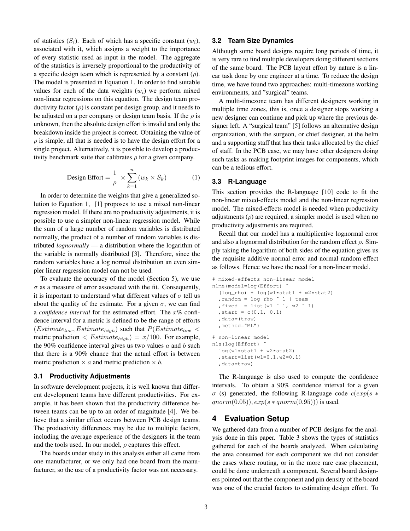of statistics  $(S_i)$ . Each of which has a specific constant  $(w_i)$ , associated with it, which assigns a weight to the importance of every statistic used as input in the model. The aggregate of the statistics is inversely proportional to the productivity of a specific design team which is represented by a constant  $(\rho)$ . The model is presented in Equation 1. In order to find suitable values for each of the data weights  $(w_i)$  we perform mixed non-linear regressions on this equation. The design team productivity factor  $(\rho)$  is constant per design group, and it needs to be adjusted on a per company or design team basis. If the  $\rho$  is unknown, then the absolute design effort is invalid and only the breakdown inside the project is correct. Obtaining the value of  $\rho$  is simple; all that is needed is to have the design effort for a single project. Alternatively, it is possible to develop a productivity benchmark suite that calibrates  $\rho$  for a given company.

Design Effort = 
$$
\frac{1}{\rho} \times \sum_{k=1}^{n} (w_k \times S_k)
$$
 (1)

In order to determine the weights that give a generalized solution to Equation 1, [1] proposes to use a mixed non-linear regression model. If there are no productivity adjustments, it is possible to use a simpler non-linear regression model. While the sum of a large number of random variables is distributed normally, the product of a number of random variables is distributed *lognormally* — a distribution where the logarithm of the variable is normally distributed [3]. Therefore, since the random variables have a log normal distribution an even simpler linear regression model can not be used.

To evaluate the accuracy of the model (Section 5), we use  $\sigma$  as a measure of error associated with the fit. Consequently, it is important to understand what different values of  $\sigma$  tell us about the quality of the estimate. For a given  $\sigma$ , we can find a *confidence interval* for the estimated effort. The x% confidence interval for a metric is defined to be the range of efforts  $(Estimate_{low}, Estimate_{high})$  such that  $P(Estimate_{low}$ metric prediction  $\langle Estimate_{high} \rangle = x/100$ . For example, the 90% confidence interval gives us two values  $a$  and  $b$  such that there is a 90% chance that the actual effort is between metric prediction  $\times a$  and metric prediction  $\times b$ .

#### **3.1 Productivity Adjustments**

In software development projects, it is well known that different development teams have different productivities. For example, it has been shown that the productivity difference between teams can be up to an order of magnitude [4]. We believe that a similar effect occurs between PCB design teams. The productivity differences may be due to multiple factors, including the average experience of the designers in the team and the tools used. In our model,  $\rho$  captures this effect.

The boards under study in this analysis either all came from one manufacturer, or we only had one board from the manufacturer, so the use of a productivity factor was not necessary.

#### **3.2 Team Size Dynamics**

Although some board designs require long periods of time, it is very rare to find multiple developers doing different sections of the same board. The PCB layout effort by nature is a linear task done by one engineer at a time. To reduce the design time, we have found two approaches: multi-timezone working environments, and "surgical" teams.

A multi-timezone team has different designers working in multiple time zones, this is, once a designer stops working a new designer can continue and pick up where the previous designer left. A "surgical team" [5] follows an alternative design organization, with the surgeon, or chief designer, at the helm and a supporting staff that has their tasks allocated by the chief of staff. In the PCB case, we may have other designers doing such tasks as making footprint images for components, which can be a tedious effort.

#### **3.3 R-Language**

This section provides the R-language [10] code to fit the non-linear mixed-effects model and the non-linear regression model. The mixed-effects model is needed when productivity adjustments  $(\rho)$  are required, a simpler model is used when no productivity adjustments are required.

Recall that our model has a multiplicative lognormal error and also a lognormal distribution for the random effect  $\rho$ . Simply taking the logarithm of both sides of the equation gives us the requisite additive normal error and normal random effect as follows. Hence we have the need for a non-linear model.

```
# mixed-effects non-linear model
nlme(model=log(Effort) ˜
  (log_rho) + log(w1*stat1 + w2*stat2),random = log_rho ˜ 1 | team
  , fixed = list(w1 " 1, w2 " 1), start = c(0.1, 0.1),data=(traw)
  ,method="ML")
# non-linear model
nls(log(Effort) ˜
  log(w1*stat1 + w2*stat2)
  ,start=list(w1=0.1,w2=0.1)
  ,data=traw)
```
The R-language is also used to compute the confidence intervals. To obtain a 90% confidence interval for a given  $\sigma$  (s) generated, the following R-language code  $c(exp(s *$  $qnorm(0.05)$ ,  $exp(s * qnorm(0.95))$  is used.

### **4 Evaluation Setup**

We gathered data from a number of PCB designs for the analysis done in this paper. Table 3 shows the types of statistics gathered for each of the boards analyzed. When calculating the area consumed for each component we did not consider the cases where routing, or in the more rare case placement, could be done underneath a component. Several board designers pointed out that the component and pin density of the board was one of the crucial factors to estimating design effort. To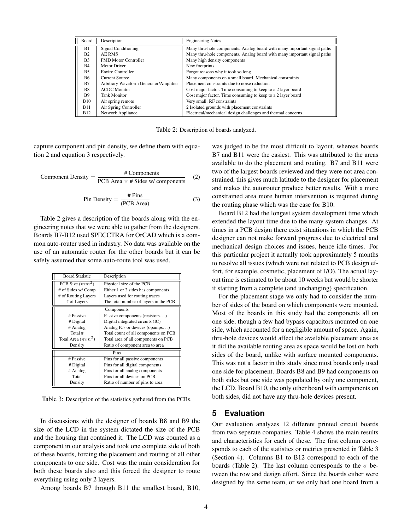| Board          | Description                            | <b>Engineering Notes</b>                                                 |
|----------------|----------------------------------------|--------------------------------------------------------------------------|
| <b>B</b> 1     | Signal Conditioning                    | Many thru-hole components. Analog board with many important signal paths |
| B <sub>2</sub> | <b>AE RMS</b>                          | Many thru-hole components. Analog board with many important signal paths |
| B <sub>3</sub> | <b>PMD Motor Controller</b>            | Many high density components                                             |
| B <sub>4</sub> | Motor Driver                           | New footprints                                                           |
| B <sub>5</sub> | Enviro Controller                      | Forgot reasons why it took so long                                       |
| <b>B6</b>      | Current Source                         | Many components on a small board. Mechanical constraints                 |
| B7             | Arbitrary Waveform Generator/Amplifier | Placement constraints due to noise reduction                             |
| B <sub>8</sub> | <b>ACDC</b> Monitor                    | Cost major factor. Time consuming to keep to a 2 layer board             |
| <b>B</b> 9     | <b>Tank Monitor</b>                    | Cost major factor. Time consuming to keep to a 2 layer board             |
| <b>B10</b>     | Air spring remote                      | Very small. RF constraints                                               |
| <b>B11</b>     | Air Spring Controller                  | 2 Isolated grounds with placement constraints                            |
| <b>B12</b>     | Network Appliance                      | Electrical/mechanical design challenges and thermal concerns             |

Table 2: Description of boards analyzed.

capture component and pin density, we define them with equation 2 and equation 3 respectively.

Component Density =  $\frac{\text{\# Components}}{\text{PCB Area} \times \text{\# Sides w/ components}}$  (2)

$$
Pin Density = \frac{\# \text{Pins}}{(PCB \text{ Area})}
$$
 (3)

Table 2 gives a description of the boards along with the engineering notes that we were able to gather from the designers. Boards B7-B12 used SPECCTRA for OrCAD which is a common auto-router used in industry. No data was available on the use of an automatic router for the other boards but it can be safely assumed that some auto-route tool was used.

| <b>Board Statistic</b> | Description                           |  |  |  |  |  |  |
|------------------------|---------------------------------------|--|--|--|--|--|--|
| PCB Size $(mm^2)$      | Physical size of the PCB              |  |  |  |  |  |  |
| # of Sides w/ Comp     | Either 1 or 2 sides has components    |  |  |  |  |  |  |
| # of Routing Layers    | Layers used for routing traces        |  |  |  |  |  |  |
| # of Layers            | The total number of layers in the PCB |  |  |  |  |  |  |
| Components             |                                       |  |  |  |  |  |  |
| # Passive              | Passive components (resistors)        |  |  |  |  |  |  |
| # Digital              | Digital integrated circuits (IC)      |  |  |  |  |  |  |
| # Analog               | Analog ICs or devices (opamps)        |  |  |  |  |  |  |
| Total #                | Total count of all components on PCB  |  |  |  |  |  |  |
| Total Area $(mm^2)$    | Total area of all components on PCB   |  |  |  |  |  |  |
| Density                | Ratio of component area to area       |  |  |  |  |  |  |
| Pins                   |                                       |  |  |  |  |  |  |
| # Passive              | Pins for all passive components       |  |  |  |  |  |  |
| # Digital              | Pins for all digital components       |  |  |  |  |  |  |
| # Analog               | Pins for all analog components        |  |  |  |  |  |  |
| Total                  | Pins for all devices on PCB           |  |  |  |  |  |  |
| Density                | Ratio of number of pins to area       |  |  |  |  |  |  |

Table 3: Description of the statistics gathered from the PCBs.

In discussions with the designer of boards B8 and B9 the size of the LCD in the system dictated the size of the PCB and the housing that contained it. The LCD was counted as a component in our analysis and took one complete side of both of these boards, forcing the placement and routing of all other components to one side. Cost was the main consideration for both these boards also and this forced the designer to route everything using only 2 layers.

Among boards B7 through B11 the smallest board, B10,

was judged to be the most difficult to layout, whereas boards B7 and B11 were the easiest. This was attributed to the areas available to do the placement and routing. B7 and B11 were two of the largest boards reviewed and they were not area constrained, this gives much latitude to the designer for placement and makes the autorouter produce better results. With a more constrained area more human intervention is required during the routing phase which was the case for B10.

Board B12 had the longest system development time which extended the layout time due to the many system changes. At times in a PCB design there exist situations in which the PCB designer can not make forward progress due to electrical and mechanical design choices and issues, hence idle times. For this particular project it actually took approximately 5 months to resolve all issues (which were not related to PCB design effort, for example, cosmetic, placement of I/O). The actual layout time is estimated to be about 10 weeks but would be shorter if starting from a complete (and unchanging) specification.

For the placement stage we only had to consider the number of sides of the board on which components were mounted. Most of the boards in this study had the components all on one side, though a few had bypass capacitors mounted on one side, which accounted for a negligible amount of space. Again, thru-hole devices would affect the available placement area as it did the available routing area as space would be lost on both sides of the board, unlike with surface mounted components. This was not a factor in this study since most boards only used one side for placement. Boards B8 and B9 had components on both sides but one side was populated by only one component, the LCD. Board B10, the only other board with components on both sides, did not have any thru-hole devices present.

# **5 Evaluation**

Our evaluation analyzes 12 different printed circuit boards from two seperate companies. Table 4 shows the main results and characteristics for each of these. The first column corresponds to each of the statistics or metrics presented in Table 3 (Section 4). Columns B1 to B12 correspond to each of the boards (Table 2). The last column corresponds to the  $\sigma$  between the row and design effort. Since the boards either were designed by the same team, or we only had one board from a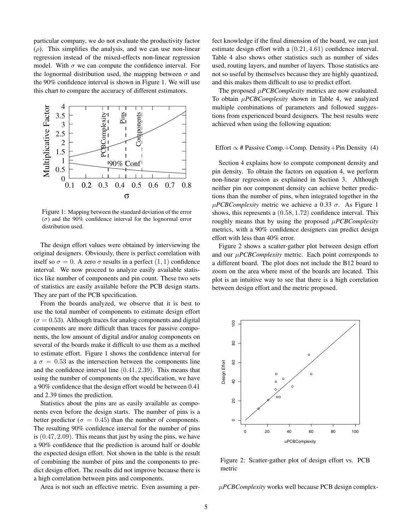particular company, we do not evaluate the productivity factor  $(\rho)$ . This simplifies the analysis, and we can use non-linear regression instead of the mixed-effects non-linear regression model. With  $\sigma$  we can compute the confidence interval. For the lognormal distribution used, the mapping between  $\sigma$  and the 90% confidence interval is shown in Figure 1. We will use this chart to compare the accuracy of different estimators.



Figure 1: Mapping between the standard deviation of the error  $(\sigma)$  and the 90% confidence interval for the lognormal error distribution used.

The design effort values were obtained by interviewing the original designers. Obviously, there is perfect correlation with itself so  $\sigma = 0$ . A zero  $\sigma$  results in a perfect  $(1, 1)$  confidence interval. We now proceed to analyze easily available statistics like number of components and pin count. These two sets of statistics are easily available before the PCB design starts. They are part of the PCB specification.

From the boards analyzed, we observe that it is best to use the total number of components to estimate design effort  $(\sigma = 0.53)$ . Although traces for analog components and digital components are more difficult than traces for passive components, the low amount of digital and/or analog components on several of the boards make it difficult to use them as a method to estimate effort. Figure 1 shows the confidence interval for a  $\sigma = 0.53$  as the intersection between the components line and the confidence interval line (0.41, 2.39). This means that using the number of components on the specification, we have a 90% confidence that the design effort would be between 0.41 and 2.39 times the prediction.

Statistics about the pins are as easily available as components even before the design starts. The number of pins is a better predictor ( $\sigma = 0.45$ ) than the number of components. The resulting 90% confidence interval for the number of pins is (0.47, 2.09). This means that just by using the pins, we have a 90% confidence that the prediction is around half or double the expected design effort. Not shown in the table is the result of combining the number of pins and the components to predict design effort. The results did not improve because there is a high correlation between pins and components.

Area is not such an effective metric. Even assuming a per-

fect knowledge if the final dimension of the board, we can just estimate design effort with a (0.21, 4.61) confidence interval. Table 4 also shows other statistics such as number of sides used, routing layers, and number of layers. Those statistics are not so useful by themselves because they are highly quantized, and this makes them difficult to use to predict effort.

The proposed  $\mu PCBComplexity$  metrics are now evaluated. To obtain µ*PCBComplexity* shown in Table 4, we analyzed multiple combinations of parameters and followed suggestions from experienced board designers. The best results were achieved when using the following equation:

#### Effort  $\propto$  # Passive Comp.+Comp. Density+Pin Density (4)

Section 4 explains how to compute component density and pin density. To obtain the factors on equation 4, we perform non-linear regression as explained in Section 3. Although neither pin nor component density can achieve better predictions than the number of pins, when integrated together in the  $\mu$ *PCBComplexity* metric we achieve a 0.33  $\sigma$ . As Figure 1 shows, this represents a (0.58, 1.72) confidence interval. This roughly means that by using the proposed µ*PCBComplexity* metrics, with a 90% confidence designers can predict design effort with less than 40% error.

Figure 2 shows a scatter-gather plot between design effort and our µ*PCBComplexity* metric. Each point corresponds to a different board. The plot does not include the B12 board to zoom on the area where most of the boards are located. This plot is an intuitive way to see that there is a high correlation between design effort and the metric proposed.



Figure 2: Scatter-gather plot of design effort vs. PCB metric

µ*PCBComplexity* works well because PCB design complex-